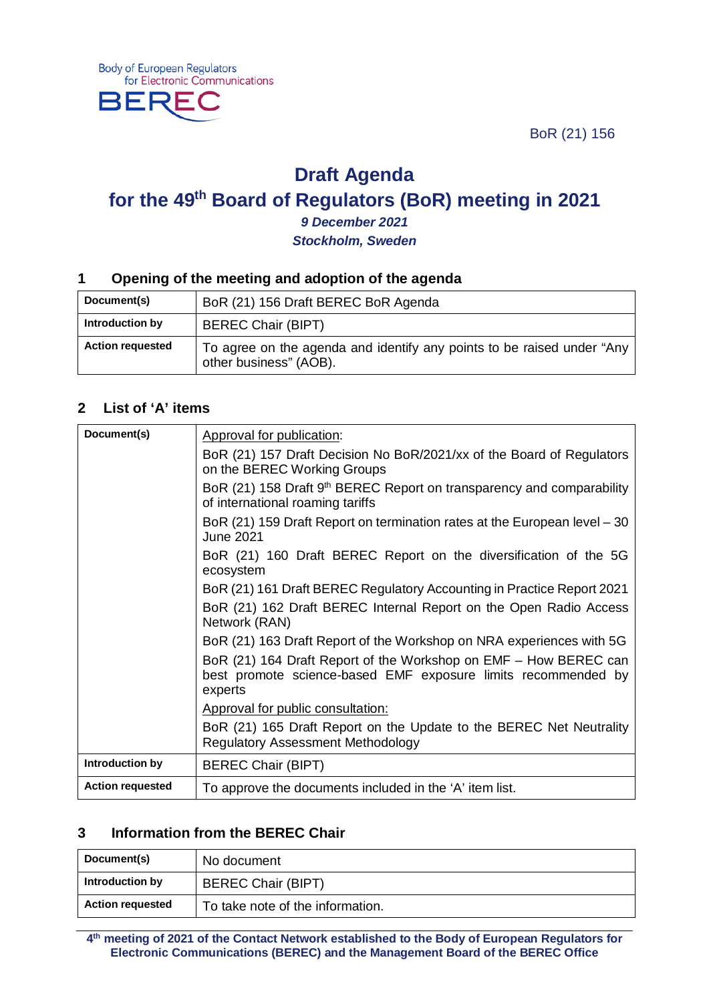BoR (21) 156



BEF



*9 December 2021 Stockholm, Sweden*

#### **1 Opening of the meeting and adoption of the agenda**

| Document(s)             | BoR (21) 156 Draft BEREC BoR Agenda                                                              |
|-------------------------|--------------------------------------------------------------------------------------------------|
| Introduction by         | <b>BEREC Chair (BIPT)</b>                                                                        |
| <b>Action requested</b> | To agree on the agenda and identify any points to be raised under "Any<br>other business" (AOB). |

#### **2 List of 'A' items**

| Document(s)             | Approval for publication:                                                                                                                    |
|-------------------------|----------------------------------------------------------------------------------------------------------------------------------------------|
|                         | BoR (21) 157 Draft Decision No BoR/2021/xx of the Board of Regulators<br>on the BEREC Working Groups                                         |
|                         | BoR (21) 158 Draft 9 <sup>th</sup> BEREC Report on transparency and comparability<br>of international roaming tariffs                        |
|                         | BoR (21) 159 Draft Report on termination rates at the European level – 30<br><b>June 2021</b>                                                |
|                         | BoR (21) 160 Draft BEREC Report on the diversification of the 5G<br>ecosystem                                                                |
|                         | BoR (21) 161 Draft BEREC Regulatory Accounting in Practice Report 2021                                                                       |
|                         | BoR (21) 162 Draft BEREC Internal Report on the Open Radio Access<br>Network (RAN)                                                           |
|                         | BoR (21) 163 Draft Report of the Workshop on NRA experiences with 5G                                                                         |
|                         | BoR (21) 164 Draft Report of the Workshop on EMF – How BEREC can<br>best promote science-based EMF exposure limits recommended by<br>experts |
|                         | Approval for public consultation:                                                                                                            |
|                         | BoR (21) 165 Draft Report on the Update to the BEREC Net Neutrality<br><b>Regulatory Assessment Methodology</b>                              |
| Introduction by         | <b>BEREC Chair (BIPT)</b>                                                                                                                    |
| <b>Action requested</b> | To approve the documents included in the 'A' item list.                                                                                      |

#### **3 Information from the BEREC Chair**

| Document(s)             | No document                      |
|-------------------------|----------------------------------|
| Introduction by         | <b>BEREC Chair (BIPT)</b>        |
| <b>Action requested</b> | To take note of the information. |

**4th meeting of 2021 of the Contact Network established to the Body of European Regulators for Electronic Communications (BEREC) and the Management Board of the BEREC Office**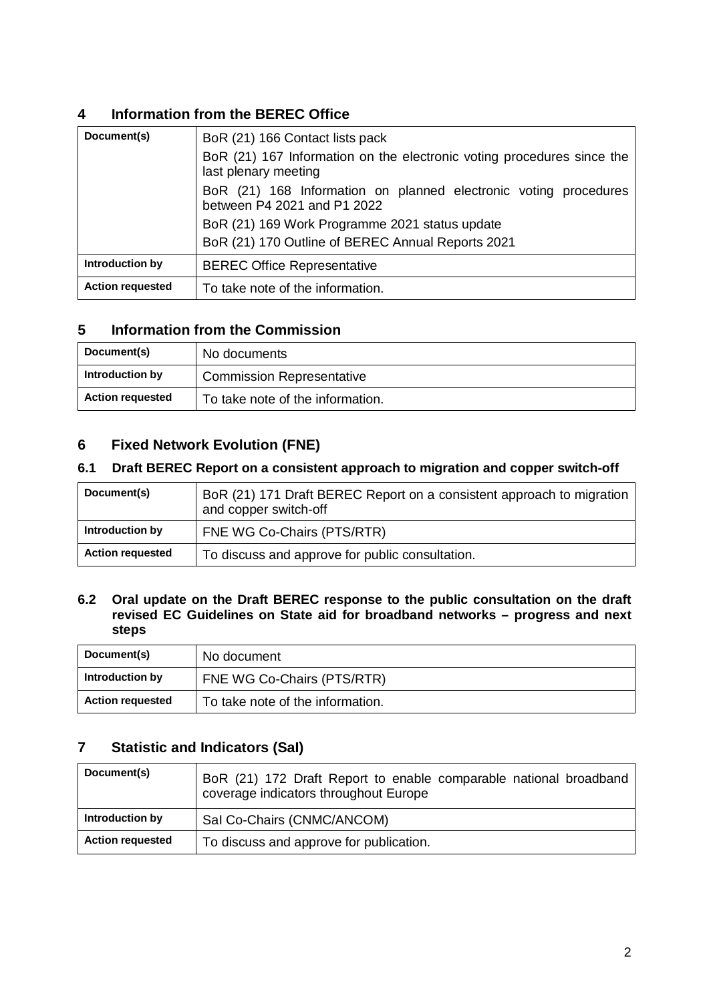# **4 Information from the BEREC Office**

| Document(s)             | BoR (21) 166 Contact lists pack                                                                 |
|-------------------------|-------------------------------------------------------------------------------------------------|
|                         | BoR (21) 167 Information on the electronic voting procedures since the<br>last plenary meeting  |
|                         | BoR (21) 168 Information on planned electronic voting procedures<br>between P4 2021 and P1 2022 |
|                         | BoR (21) 169 Work Programme 2021 status update                                                  |
|                         | BoR (21) 170 Outline of BEREC Annual Reports 2021                                               |
| Introduction by         | <b>BEREC Office Representative</b>                                                              |
| <b>Action requested</b> | To take note of the information.                                                                |

# **5 Information from the Commission**

| Document(s)             | No documents                     |
|-------------------------|----------------------------------|
| Introduction by         | <b>Commission Representative</b> |
| <b>Action requested</b> | To take note of the information. |

### **6 Fixed Network Evolution (FNE)**

### **6.1 Draft BEREC Report on a consistent approach to migration and copper switch-off**

| Document(s)             | BoR (21) 171 Draft BEREC Report on a consistent approach to migration<br>and copper switch-off |
|-------------------------|------------------------------------------------------------------------------------------------|
| Introduction by         | FNE WG Co-Chairs (PTS/RTR)                                                                     |
| <b>Action requested</b> | To discuss and approve for public consultation.                                                |

#### **6.2 Oral update on the Draft BEREC response to the public consultation on the draft revised EC Guidelines on State aid for broadband networks – progress and next steps**

| Document(s)             | No document                      |
|-------------------------|----------------------------------|
| Introduction by         | FNE WG Co-Chairs (PTS/RTR)       |
| <b>Action requested</b> | To take note of the information. |

### **7 Statistic and Indicators (SaI)**

| Document(s)             | BoR (21) 172 Draft Report to enable comparable national broadband<br>coverage indicators throughout Europe |
|-------------------------|------------------------------------------------------------------------------------------------------------|
| Introduction by         | Sal Co-Chairs (CNMC/ANCOM)                                                                                 |
| <b>Action requested</b> | To discuss and approve for publication.                                                                    |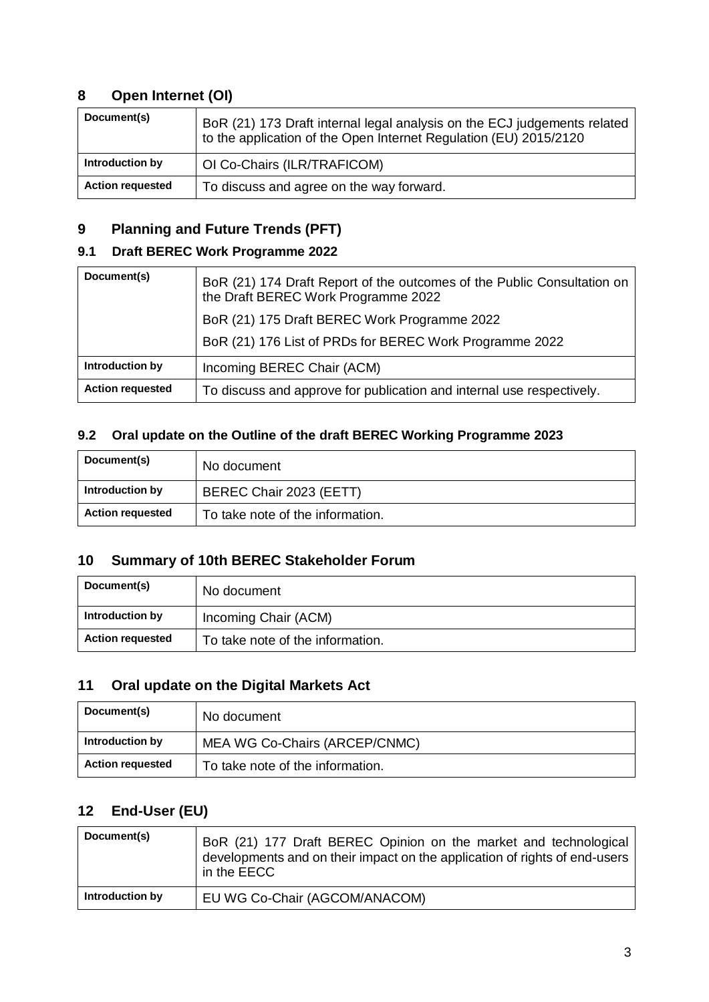# **8 Open Internet (OI)**

| Document(s)             | BoR (21) 173 Draft internal legal analysis on the ECJ judgements related<br>to the application of the Open Internet Regulation (EU) 2015/2120 |
|-------------------------|-----------------------------------------------------------------------------------------------------------------------------------------------|
| Introduction by         | OI Co-Chairs (ILR/TRAFICOM)                                                                                                                   |
| <b>Action requested</b> | To discuss and agree on the way forward.                                                                                                      |

# **9 Planning and Future Trends (PFT)**

# **9.1 Draft BEREC Work Programme 2022**

| Document(s)             | BoR (21) 174 Draft Report of the outcomes of the Public Consultation on<br>the Draft BEREC Work Programme 2022 |
|-------------------------|----------------------------------------------------------------------------------------------------------------|
|                         | BoR (21) 175 Draft BEREC Work Programme 2022                                                                   |
|                         | BoR (21) 176 List of PRDs for BEREC Work Programme 2022                                                        |
| Introduction by         | Incoming BEREC Chair (ACM)                                                                                     |
| <b>Action requested</b> | To discuss and approve for publication and internal use respectively.                                          |

### **9.2 Oral update on the Outline of the draft BEREC Working Programme 2023**

| Document(s)             | No document                      |
|-------------------------|----------------------------------|
| Introduction by         | BEREC Chair 2023 (EETT)          |
| <b>Action requested</b> | To take note of the information. |

# **10 Summary of 10th BEREC Stakeholder Forum**

| Document(s)             | No document                      |
|-------------------------|----------------------------------|
| Introduction by         | Incoming Chair (ACM)             |
| <b>Action requested</b> | To take note of the information. |

# **11 Oral update on the Digital Markets Act**

| Document(s)             | No document                      |
|-------------------------|----------------------------------|
| Introduction by         | MEA WG Co-Chairs (ARCEP/CNMC)    |
| <b>Action requested</b> | To take note of the information. |

# **12 End-User (EU)**

| Document(s)     | BoR (21) 177 Draft BEREC Opinion on the market and technological<br>developments and on their impact on the application of rights of end-users<br>in the EECC |
|-----------------|---------------------------------------------------------------------------------------------------------------------------------------------------------------|
| Introduction by | EU WG Co-Chair (AGCOM/ANACOM)                                                                                                                                 |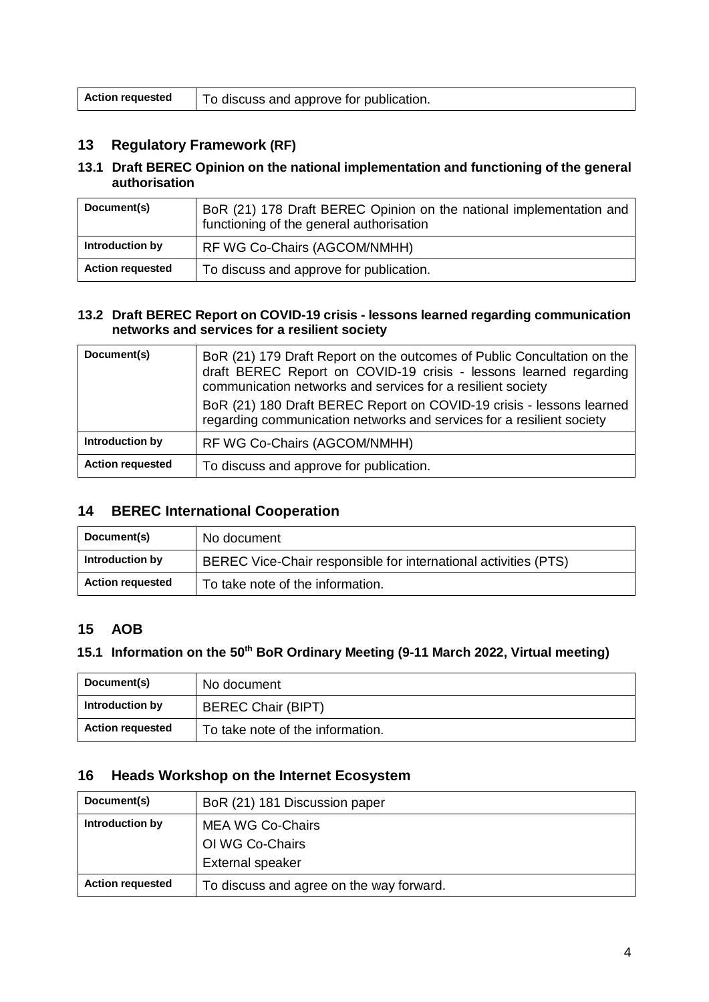| <b>Action requested</b> | To discuss and approve for publication. |
|-------------------------|-----------------------------------------|
|-------------------------|-----------------------------------------|

# **13 Regulatory Framework (RF)**

#### **13.1 Draft BEREC Opinion on the national implementation and functioning of the general authorisation**

| Document(s)             | BoR (21) 178 Draft BEREC Opinion on the national implementation and<br>functioning of the general authorisation |
|-------------------------|-----------------------------------------------------------------------------------------------------------------|
| Introduction by         | RF WG Co-Chairs (AGCOM/NMHH)                                                                                    |
| <b>Action requested</b> | To discuss and approve for publication.                                                                         |

#### **13.2 Draft BEREC Report on COVID-19 crisis - lessons learned regarding communication networks and services for a resilient society**

| Document(s)             | BoR (21) 179 Draft Report on the outcomes of Public Concultation on the<br>draft BEREC Report on COVID-19 crisis - lessons learned regarding<br>communication networks and services for a resilient society<br>BoR (21) 180 Draft BEREC Report on COVID-19 crisis - lessons learned<br>regarding communication networks and services for a resilient society |
|-------------------------|--------------------------------------------------------------------------------------------------------------------------------------------------------------------------------------------------------------------------------------------------------------------------------------------------------------------------------------------------------------|
| Introduction by         | RF WG Co-Chairs (AGCOM/NMHH)                                                                                                                                                                                                                                                                                                                                 |
| <b>Action requested</b> | To discuss and approve for publication.                                                                                                                                                                                                                                                                                                                      |

### **14 BEREC International Cooperation**

| Document(s)             | No document                                                     |
|-------------------------|-----------------------------------------------------------------|
| Introduction by         | BEREC Vice-Chair responsible for international activities (PTS) |
| <b>Action requested</b> | To take note of the information.                                |

#### **15 AOB**

# **15.1 Information on the 50th BoR Ordinary Meeting (9-11 March 2022, Virtual meeting)**

| Document(s)             | No document                      |
|-------------------------|----------------------------------|
| Introduction by         | <b>BEREC Chair (BIPT)</b>        |
| <b>Action requested</b> | To take note of the information. |

### **16 Heads Workshop on the Internet Ecosystem**

| Document(s)             | BoR (21) 181 Discussion paper                                  |
|-------------------------|----------------------------------------------------------------|
| Introduction by         | MEA WG Co-Chairs<br>OI WG Co-Chairs<br><b>External speaker</b> |
| <b>Action requested</b> | To discuss and agree on the way forward.                       |